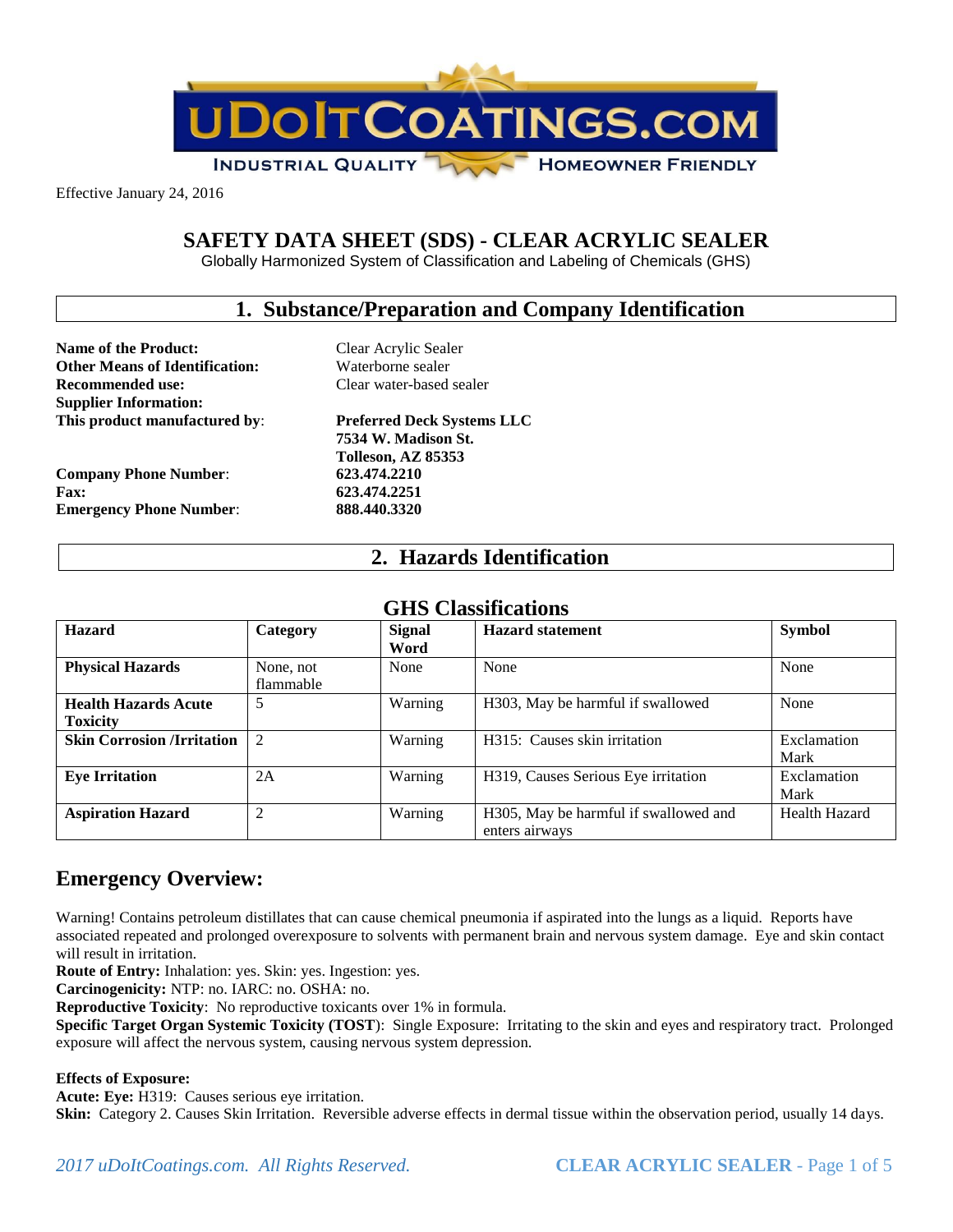

Effective January 24, 2016

# **SAFETY DATA SHEET (SDS) - CLEAR ACRYLIC SEALER**

Globally Harmonized System of Classification and Labeling of Chemicals (GHS)

### **1. Substance/Preparation and Company Identification**

**Name of the Product:** Clear Acrylic Sealer **Other Means of Identification:** Waterborne sealer **Recommended use:** Clear water-based sealer **Supplier Information: This product manufactured by**: **Preferred Deck Systems LLC**

**Company Phone Number**: **623.474.2210 Fax: 623.474.2251 Emergency Phone Number**: **888.440.3320**

**7534 W. Madison St. Tolleson, AZ 85353**

### **2. Hazards Identification**

| мину Сиямиканиям                               |                        |                       |                                                         |                      |
|------------------------------------------------|------------------------|-----------------------|---------------------------------------------------------|----------------------|
| <b>Hazard</b>                                  | Category               | <b>Signal</b><br>Word | <b>Hazard statement</b>                                 | <b>Symbol</b>        |
| <b>Physical Hazards</b>                        | None, not<br>flammable | None                  | None                                                    | None                 |
| <b>Health Hazards Acute</b><br><b>Toxicity</b> | 5                      | Warning               | H303, May be harmful if swallowed                       | None                 |
| <b>Skin Corrosion /Irritation</b>              | $\overline{2}$         | Warning               | H315: Causes skin irritation                            | Exclamation<br>Mark  |
| <b>Eye Irritation</b>                          | 2A                     | Warning               | H319, Causes Serious Eye irritation                     | Exclamation<br>Mark  |
| <b>Aspiration Hazard</b>                       | 2                      | Warning               | H305, May be harmful if swallowed and<br>enters airways | <b>Health Hazard</b> |

### **GHS Classifications**

# **Emergency Overview:**

Warning! Contains petroleum distillates that can cause chemical pneumonia if aspirated into the lungs as a liquid. Reports have associated repeated and prolonged overexposure to solvents with permanent brain and nervous system damage. Eye and skin contact will result in irritation.

**Route of Entry:** Inhalation: yes. Skin: yes. Ingestion: yes.

**Carcinogenicity:** NTP: no. IARC: no. OSHA: no.

**Reproductive Toxicity**: No reproductive toxicants over 1% in formula.

**Specific Target Organ Systemic Toxicity (TOST**): Single Exposure: Irritating to the skin and eyes and respiratory tract. Prolonged exposure will affect the nervous system, causing nervous system depression.

### **Effects of Exposure:**

**Acute: Eye:** H319: Causes serious eye irritation.

**Skin:** Category 2. Causes Skin Irritation. Reversible adverse effects in dermal tissue within the observation period, usually 14 days.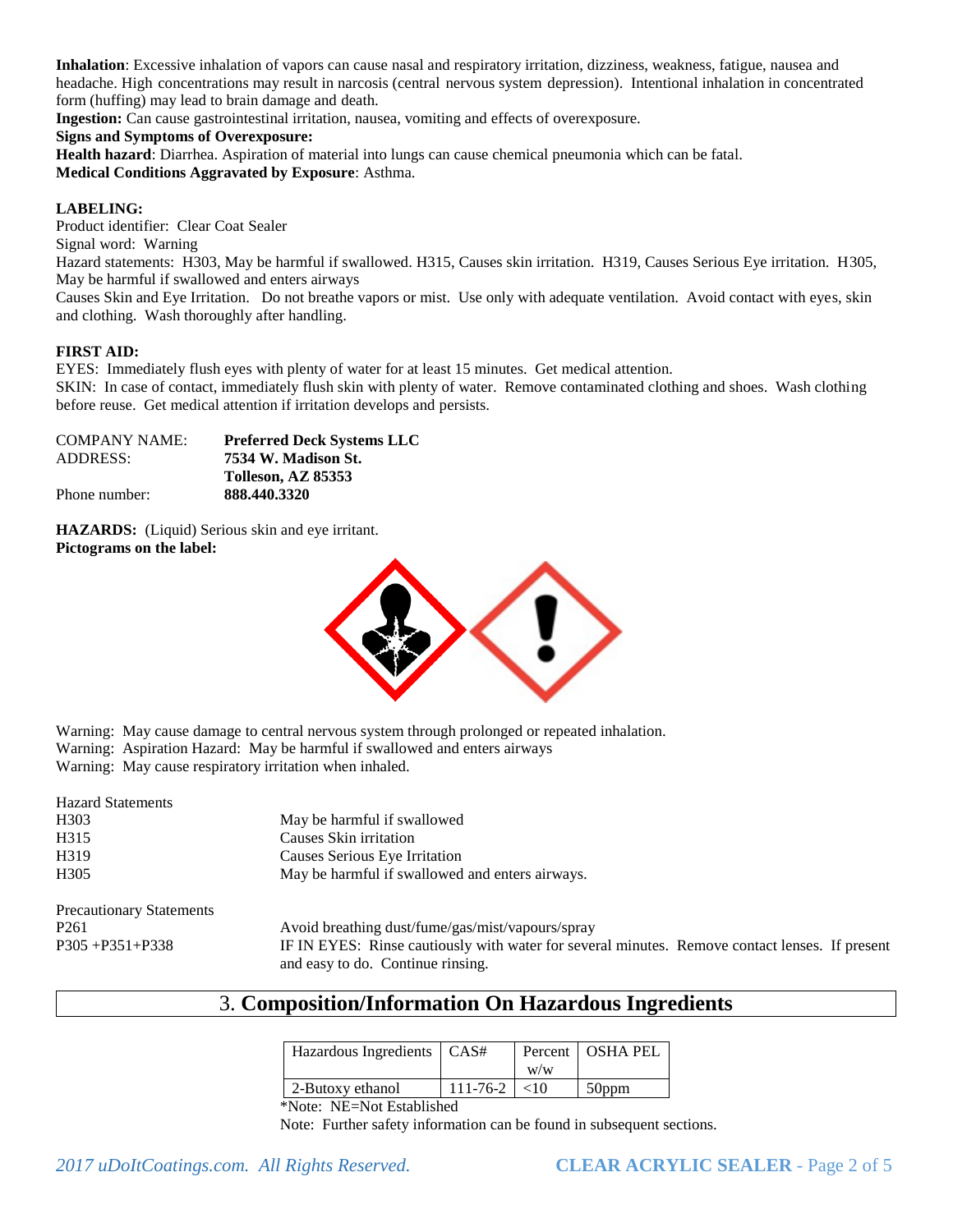**Inhalation**: Excessive inhalation of vapors can cause nasal and respiratory irritation, dizziness, weakness, fatigue, nausea and headache. High concentrations may result in narcosis (central nervous system depression). Intentional inhalation in concentrated form (huffing) may lead to brain damage and death.

**Ingestion:** Can cause gastrointestinal irritation, nausea, vomiting and effects of overexposure.

#### **Signs and Symptoms of Overexposure:**

**Health hazard**: Diarrhea. Aspiration of material into lungs can cause chemical pneumonia which can be fatal. **Medical Conditions Aggravated by Exposure**: Asthma.

#### **LABELING:**

Product identifier: Clear Coat Sealer

Signal word: Warning

Hazard statements: H303, May be harmful if swallowed. H315, Causes skin irritation. H319, Causes Serious Eye irritation. H305, May be harmful if swallowed and enters airways

Causes Skin and Eye Irritation. Do not breathe vapors or mist. Use only with adequate ventilation. Avoid contact with eyes, skin and clothing. Wash thoroughly after handling.

### **FIRST AID:**

EYES: Immediately flush eyes with plenty of water for at least 15 minutes. Get medical attention.

SKIN: In case of contact, immediately flush skin with plenty of water. Remove contaminated clothing and shoes. Wash clothing before reuse. Get medical attention if irritation develops and persists.

| <b>COMPANY NAME:</b> | <b>Preferred Deck Systems LLC</b> |
|----------------------|-----------------------------------|
| ADDRESS:             | 7534 W. Madison St.               |
|                      | Tolleson, AZ 85353                |
| Phone number:        | 888.440.3320                      |

**HAZARDS:** (Liquid) Serious skin and eye irritant. **Pictograms on the label:** 



Warning: May cause damage to central nervous system through prolonged or repeated inhalation. Warning: Aspiration Hazard: May be harmful if swallowed and enters airways

Warning: May cause respiratory irritation when inhaled.

| <b>Hazard Statements</b>        |                                                  |
|---------------------------------|--------------------------------------------------|
| H <sub>3</sub> 03               | May be harmful if swallowed                      |
| H315                            | Causes Skin irritation                           |
| H319                            | Causes Serious Eye Irritation                    |
| H <sub>305</sub>                | May be harmful if swallowed and enters airways.  |
| <b>Precautionary Statements</b> |                                                  |
| P <sub>261</sub>                | Avoid breathing dust/fume/gas/mist/vapours/spray |

P305 +P351+P338 IF IN EYES: Rinse cautiously with water for several minutes. Remove contact lenses. If present and easy to do. Continue rinsing.

# 3. **Composition/Information On Hazardous Ingredients**

| Hazardous Ingredients   CAS# |                       | W/W | Percent   OSHA PEL |
|------------------------------|-----------------------|-----|--------------------|
| 2-Butoxy ethanol             | $111 - 76 - 2 \le 10$ |     | $50$ ppm           |

\*Note: NE=Not Established

Note: Further safety information can be found in subsequent sections.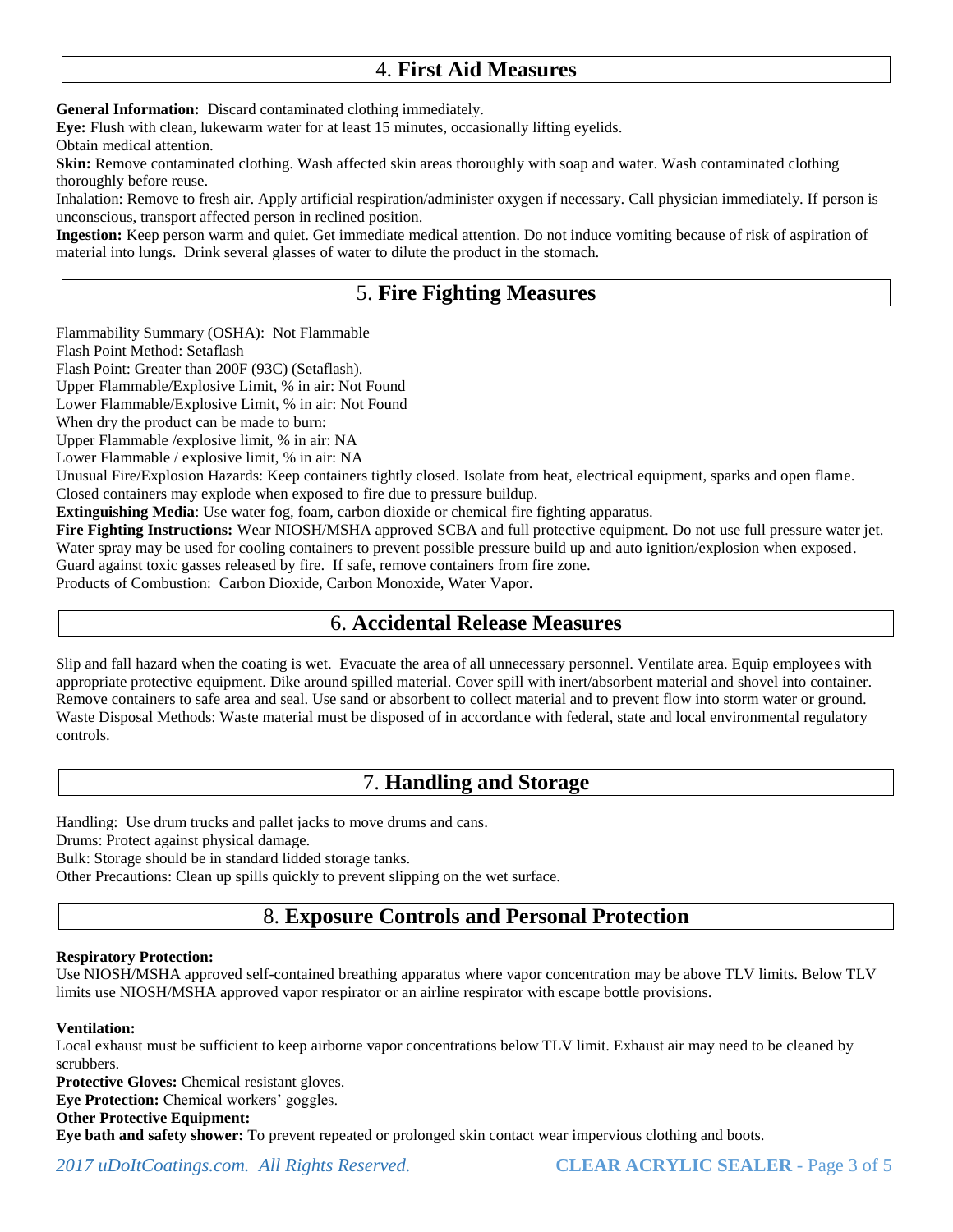# 4. **First Aid Measures**

**General Information:** Discard contaminated clothing immediately.

**Eye:** Flush with clean, lukewarm water for at least 15 minutes, occasionally lifting eyelids.

Obtain medical attention.

**Skin:** Remove contaminated clothing. Wash affected skin areas thoroughly with soap and water. Wash contaminated clothing thoroughly before reuse.

Inhalation: Remove to fresh air. Apply artificial respiration/administer oxygen if necessary. Call physician immediately. If person is unconscious, transport affected person in reclined position.

**Ingestion:** Keep person warm and quiet. Get immediate medical attention. Do not induce vomiting because of risk of aspiration of material into lungs. Drink several glasses of water to dilute the product in the stomach.

# 5. **Fire Fighting Measures**

Flammability Summary (OSHA): Not Flammable

Flash Point Method: Setaflash

Flash Point: Greater than 200F (93C) (Setaflash).

Upper Flammable/Explosive Limit, % in air: Not Found

Lower Flammable/Explosive Limit, % in air: Not Found

When dry the product can be made to burn:

Upper Flammable /explosive limit, % in air: NA

Lower Flammable / explosive limit, % in air: NA

Unusual Fire/Explosion Hazards: Keep containers tightly closed. Isolate from heat, electrical equipment, sparks and open flame. Closed containers may explode when exposed to fire due to pressure buildup.

**Extinguishing Media**: Use water fog, foam, carbon dioxide or chemical fire fighting apparatus.

**Fire Fighting Instructions:** Wear NIOSH/MSHA approved SCBA and full protective equipment. Do not use full pressure water jet. Water spray may be used for cooling containers to prevent possible pressure build up and auto ignition/explosion when exposed. Guard against toxic gasses released by fire. If safe, remove containers from fire zone.

Products of Combustion: Carbon Dioxide, Carbon Monoxide, Water Vapor.

## 6. **Accidental Release Measures**

Slip and fall hazard when the coating is wet. Evacuate the area of all unnecessary personnel. Ventilate area. Equip employees with appropriate protective equipment. Dike around spilled material. Cover spill with inert/absorbent material and shovel into container. Remove containers to safe area and seal. Use sand or absorbent to collect material and to prevent flow into storm water or ground. Waste Disposal Methods: Waste material must be disposed of in accordance with federal, state and local environmental regulatory controls.

# 7. **Handling and Storage**

Handling: Use drum trucks and pallet jacks to move drums and cans. Drums: Protect against physical damage.

Bulk: Storage should be in standard lidded storage tanks.

Other Precautions: Clean up spills quickly to prevent slipping on the wet surface.

# 8. **Exposure Controls and Personal Protection**

### **Respiratory Protection:**

Use NIOSH/MSHA approved self-contained breathing apparatus where vapor concentration may be above TLV limits. Below TLV limits use NIOSH/MSHA approved vapor respirator or an airline respirator with escape bottle provisions.

### **Ventilation:**

Local exhaust must be sufficient to keep airborne vapor concentrations below TLV limit. Exhaust air may need to be cleaned by scrubbers.

**Protective Gloves:** Chemical resistant gloves.

**Eye Protection:** Chemical workers' goggles.

### **Other Protective Equipment:**

**Eye bath and safety shower:** To prevent repeated or prolonged skin contact wear impervious clothing and boots.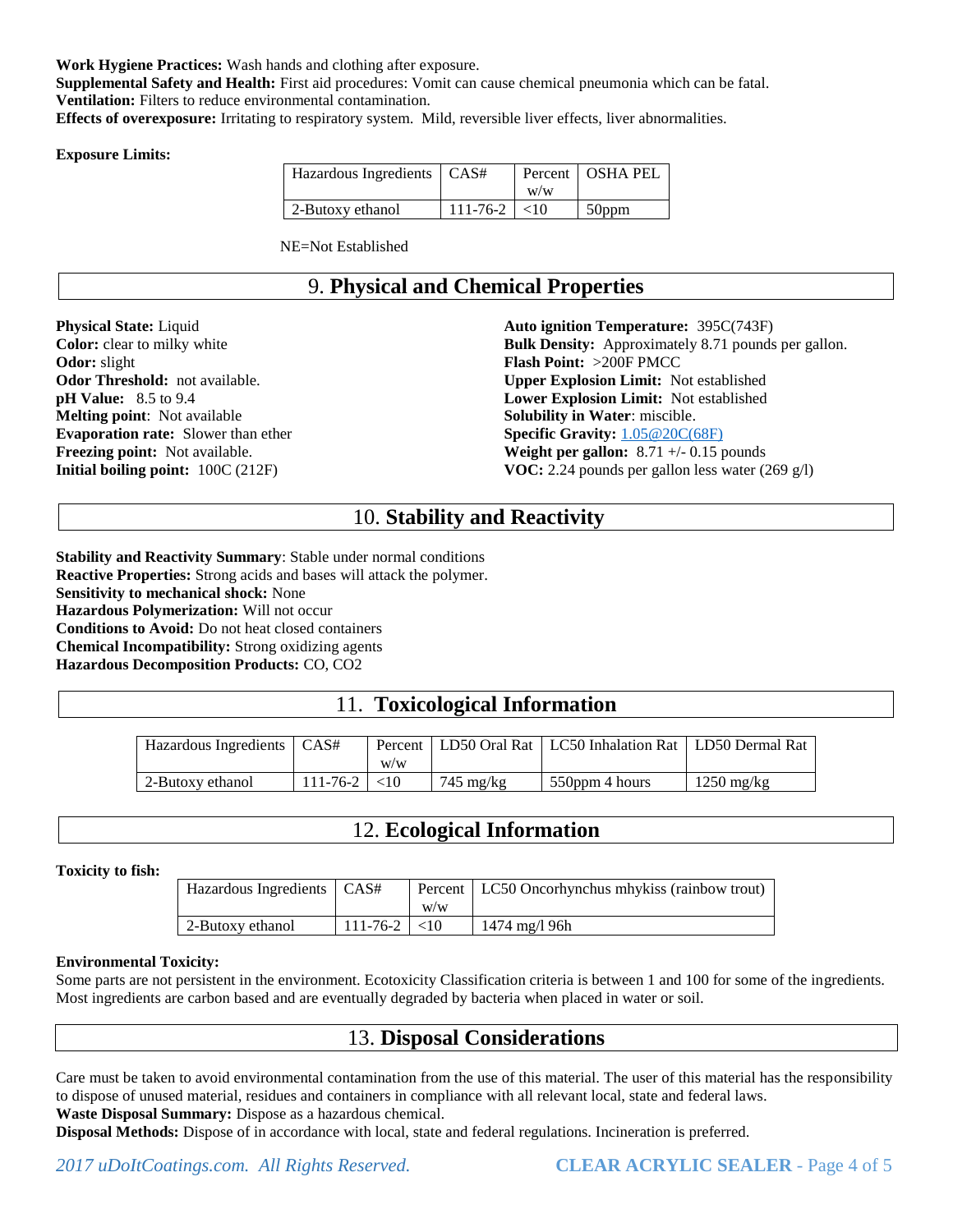**Work Hygiene Practices:** Wash hands and clothing after exposure.

**Supplemental Safety and Health:** First aid procedures: Vomit can cause chemical pneumonia which can be fatal. **Ventilation:** Filters to reduce environmental contamination.

**Effects of overexposure:** Irritating to respiratory system. Mild, reversible liver effects, liver abnormalities.

#### **Exposure Limits:**

| Hazardous Ingredients   CAS# |                       | W/W | Percent   OSHA PEL |
|------------------------------|-----------------------|-----|--------------------|
| 2-Butoxy ethanol             | $111 - 76 - 2 \le 10$ |     | 50ppm              |

NE=Not Established

# 9. **Physical and Chemical Properties**

**Physical State:** Liquid **Color:** clear to milky white **Odor:** slight **Odor Threshold:** not available. **pH Value:** 8.5 to 9.4 **Melting point**: Not available **Evaporation rate:** Slower than ether **Freezing point:** Not available. **Initial boiling point:** 100C (212F)

**Auto ignition Temperature:** 395C(743F) **Bulk Density:** Approximately 8.71 pounds per gallon. **Flash Point:** >200F PMCC **Upper Explosion Limit:** Not established **Lower Explosion Limit:** Not established **Solubility in Water**: miscible. **Specific Gravity:** [1.05@20C\(68F\)](mailto:1.05@20C(68F)) **Weight per gallon:** 8.71 +/- 0.15 pounds **VOC:** 2.24 pounds per gallon less water (269 g/l)

# 10. **Stability and Reactivity**

**Stability and Reactivity Summary**: Stable under normal conditions **Reactive Properties:** Strong acids and bases will attack the polymer. **Sensitivity to mechanical shock:** None **Hazardous Polymerization:** Will not occur **Conditions to Avoid:** Do not heat closed containers **Chemical Incompatibility:** Strong oxidizing agents **Hazardous Decomposition Products:** CO, CO2

# 11. **Toxicological Information**

| Hazardous Ingredients   CAS# |                | W/W       |                     | Percent   LD50 Oral Rat   LC50 Inhalation Rat   LD50 Dermal Rat |                      |
|------------------------------|----------------|-----------|---------------------|-----------------------------------------------------------------|----------------------|
| 2-Butoxy ethanol             | $111 - 76 - 2$ | $\leq 10$ | $745 \text{ mg/kg}$ | 550ppm 4 hours                                                  | $1250 \text{ mg/kg}$ |

# 12. **Ecological Information**

#### **Toxicity to fish:**

| Hazardous Ingredients   CAS# |                  | W/W | Percent   LC50 Oncorhynchus mhykiss (rainbow trout) |
|------------------------------|------------------|-----|-----------------------------------------------------|
| 2-Butoxy ethanol             | $111-76-2$   <10 |     | $1474 \text{ mg}/196h$                              |

#### **Environmental Toxicity:**

Some parts are not persistent in the environment. Ecotoxicity Classification criteria is between 1 and 100 for some of the ingredients. Most ingredients are carbon based and are eventually degraded by bacteria when placed in water or soil.

### 13. **Disposal Considerations**

Care must be taken to avoid environmental contamination from the use of this material. The user of this material has the responsibility to dispose of unused material, residues and containers in compliance with all relevant local, state and federal laws. **Waste Disposal Summary:** Dispose as a hazardous chemical.

**Disposal Methods:** Dispose of in accordance with local, state and federal regulations. Incineration is preferred.